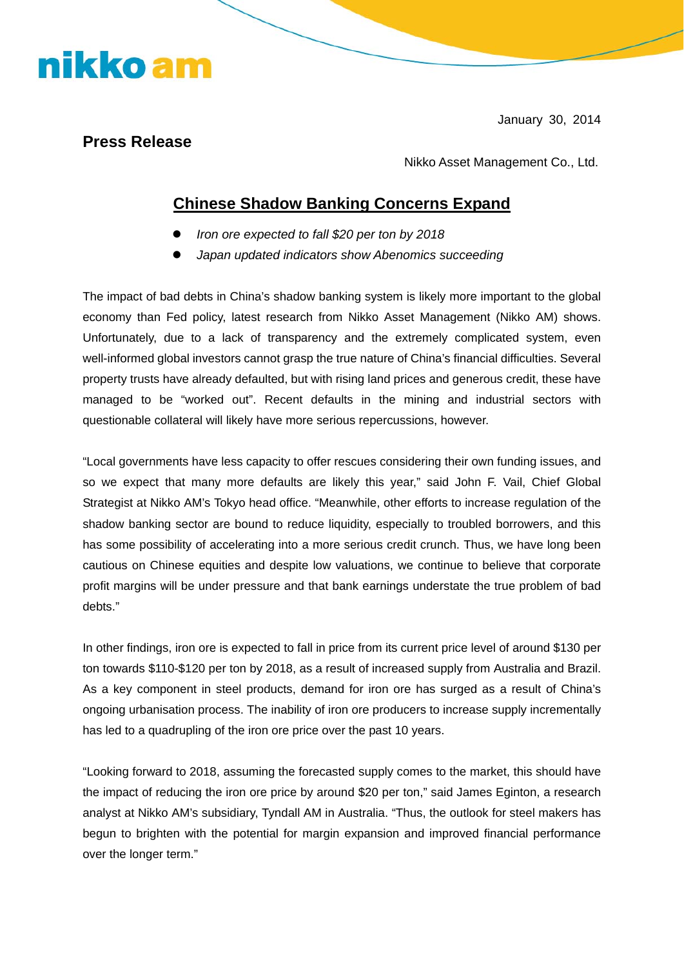January 30, 2014

## **Press Release**

nikko am

Nikko Asset Management Co., Ltd.

## **Chinese Shadow Banking Concerns Expand**

- **•** *Iron ore expected to fall \$20 per ton by 2018*
- Japan updated indicators show Abenomics succeeding

The impact of bad debts in China's shadow banking system is likely more important to the global economy than Fed policy, latest research from Nikko Asset Management (Nikko AM) shows. Unfortunately, due to a lack of transparency and the extremely complicated system, even well-informed global investors cannot grasp the true nature of China's financial difficulties. Several property trusts have already defaulted, but with rising land prices and generous credit, these have managed to be "worked out". Recent defaults in the mining and industrial sectors with questionable collateral will likely have more serious repercussions, however.

"Local governments have less capacity to offer rescues considering their own funding issues, and so we expect that many more defaults are likely this year," said John F. Vail, Chief Global Strategist at Nikko AM's Tokyo head office. "Meanwhile, other efforts to increase regulation of the shadow banking sector are bound to reduce liquidity, especially to troubled borrowers, and this has some possibility of accelerating into a more serious credit crunch. Thus, we have long been cautious on Chinese equities and despite low valuations, we continue to believe that corporate profit margins will be under pressure and that bank earnings understate the true problem of bad debts."

In other findings, iron ore is expected to fall in price from its current price level of around \$130 per ton towards \$110-\$120 per ton by 2018, as a result of increased supply from Australia and Brazil. As a key component in steel products, demand for iron ore has surged as a result of China's ongoing urbanisation process. The inability of iron ore producers to increase supply incrementally has led to a quadrupling of the iron ore price over the past 10 years.

"Looking forward to 2018, assuming the forecasted supply comes to the market, this should have the impact of reducing the iron ore price by around \$20 per ton," said James Eginton, a research analyst at Nikko AM's subsidiary, Tyndall AM in Australia. "Thus, the outlook for steel makers has begun to brighten with the potential for margin expansion and improved financial performance over the longer term."